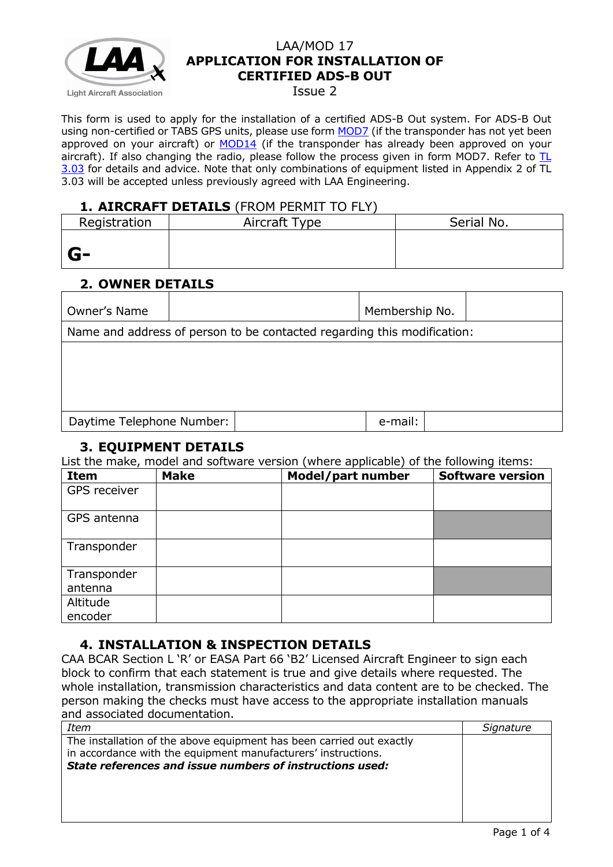

#### Issue 2

This form is used to apply for the installation of a certified ADS-B Out system. For ADS-B Out using non-certified or TABS GPS units, please use form [MOD7](http://www.lightaircraftassociation.co.uk/engineering/StandardForms/LAA-MOD%207%20%20Avionics%20Installation.pdf) (if the transponder has not yet been approved on your aircraft) or [MOD14](http://www.lightaircraftassociation.co.uk/engineering/StandardForms/LAA-MOD%2014%20-%20ADS-B.pdf) (if the transponder has already been approved on your aircraft). If also changing the radio, please follow the process given in form MOD7. Refer to  $TL$ [3.03](http://www.lightaircraftassociation.co.uk/engineering/TechnicalLeaflets/Mods%20and%20Repairs/TL%203.03%20Avionics%20Installations.pdf) for details and advice. Note that only combinations of equipment listed in Appendix 2 of TL 3.03 will be accepted unless previously agreed with LAA Engineering.

### **1. AIRCRAFT DETAILS** (FROM PERMIT TO FLY)

| Registration | Aircraft Type | Serial No. |
|--------------|---------------|------------|
|              |               |            |
| $G-$         |               |            |

# **2. OWNER DETAILS**

| Owner's Name              |                                                                         |  | Membership No. |  |  |
|---------------------------|-------------------------------------------------------------------------|--|----------------|--|--|
|                           | Name and address of person to be contacted regarding this modification: |  |                |  |  |
|                           |                                                                         |  |                |  |  |
|                           |                                                                         |  |                |  |  |
|                           |                                                                         |  |                |  |  |
|                           |                                                                         |  |                |  |  |
| Daytime Telephone Number: |                                                                         |  | e-mail:        |  |  |

### **3. EQUIPMENT DETAILS**

List the make, model and software version (where applicable) of the following items:

| <b>Item</b>  | <b>Make</b> | Model/part number | <b>Software version</b> |
|--------------|-------------|-------------------|-------------------------|
| GPS receiver |             |                   |                         |
| GPS antenna  |             |                   |                         |
| Transponder  |             |                   |                         |
| Transponder  |             |                   |                         |
| antenna      |             |                   |                         |
| Altitude     |             |                   |                         |
| encoder      |             |                   |                         |

## **4. INSTALLATION & INSPECTION DETAILS**

CAA BCAR Section L 'R' or EASA Part 66 'B2' Licensed Aircraft Engineer to sign each block to confirm that each statement is true and give details where requested. The whole installation, transmission characteristics and data content are to be checked. The person making the checks must have access to the appropriate installation manuals and associated documentation.

| Item                                                                                                                                                                                              | Signature |
|---------------------------------------------------------------------------------------------------------------------------------------------------------------------------------------------------|-----------|
| The installation of the above equipment has been carried out exactly<br>in accordance with the equipment manufacturers' instructions.<br>State references and issue numbers of instructions used: |           |
|                                                                                                                                                                                                   |           |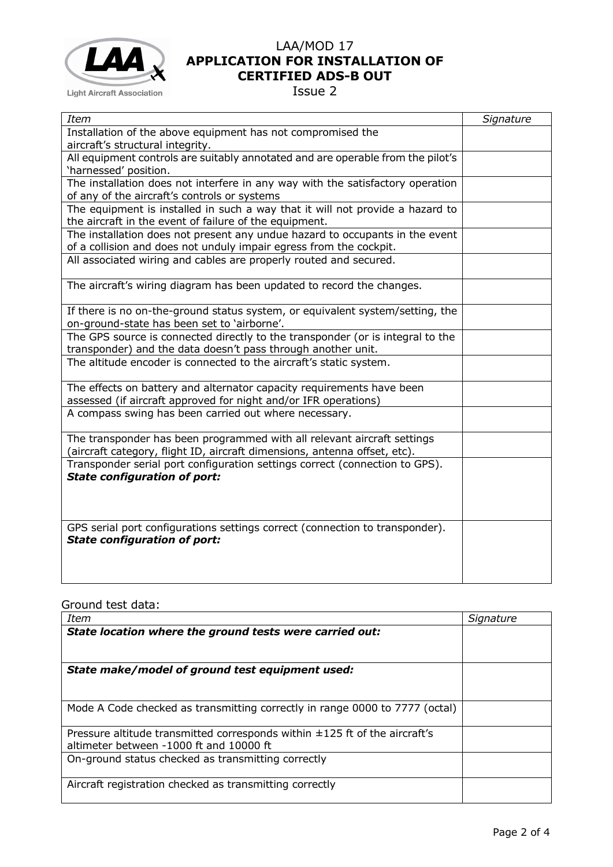

Issue 2

| <b>Item</b>                                                                     | Signature |
|---------------------------------------------------------------------------------|-----------|
| Installation of the above equipment has not compromised the                     |           |
| aircraft's structural integrity.                                                |           |
| All equipment controls are suitably annotated and are operable from the pilot's |           |
| 'harnessed' position.                                                           |           |
| The installation does not interfere in any way with the satisfactory operation  |           |
| of any of the aircraft's controls or systems                                    |           |
| The equipment is installed in such a way that it will not provide a hazard to   |           |
| the aircraft in the event of failure of the equipment.                          |           |
| The installation does not present any undue hazard to occupants in the event    |           |
| of a collision and does not unduly impair egress from the cockpit.              |           |
| All associated wiring and cables are properly routed and secured.               |           |
| The aircraft's wiring diagram has been updated to record the changes.           |           |
|                                                                                 |           |
| If there is no on-the-ground status system, or equivalent system/setting, the   |           |
| on-ground-state has been set to 'airborne'.                                     |           |
| The GPS source is connected directly to the transponder (or is integral to the  |           |
| transponder) and the data doesn't pass through another unit.                    |           |
| The altitude encoder is connected to the aircraft's static system.              |           |
| The effects on battery and alternator capacity requirements have been           |           |
| assessed (if aircraft approved for night and/or IFR operations)                 |           |
| A compass swing has been carried out where necessary.                           |           |
| The transponder has been programmed with all relevant aircraft settings         |           |
| (aircraft category, flight ID, aircraft dimensions, antenna offset, etc).       |           |
| Transponder serial port configuration settings correct (connection to GPS).     |           |
| <b>State configuration of port:</b>                                             |           |
|                                                                                 |           |
|                                                                                 |           |
| GPS serial port configurations settings correct (connection to transponder).    |           |
| <b>State configuration of port:</b>                                             |           |
|                                                                                 |           |
|                                                                                 |           |
|                                                                                 |           |

Ground test data:

| <b>Item</b>                                                                 | Signature |
|-----------------------------------------------------------------------------|-----------|
| State location where the ground tests were carried out:                     |           |
|                                                                             |           |
|                                                                             |           |
| State make/model of ground test equipment used:                             |           |
|                                                                             |           |
|                                                                             |           |
| Mode A Code checked as transmitting correctly in range 0000 to 7777 (octal) |           |
|                                                                             |           |
| Pressure altitude transmitted corresponds within ±125 ft of the aircraft's  |           |
| altimeter between -1000 ft and 10000 ft                                     |           |
| On-ground status checked as transmitting correctly                          |           |
|                                                                             |           |
| Aircraft registration checked as transmitting correctly                     |           |
|                                                                             |           |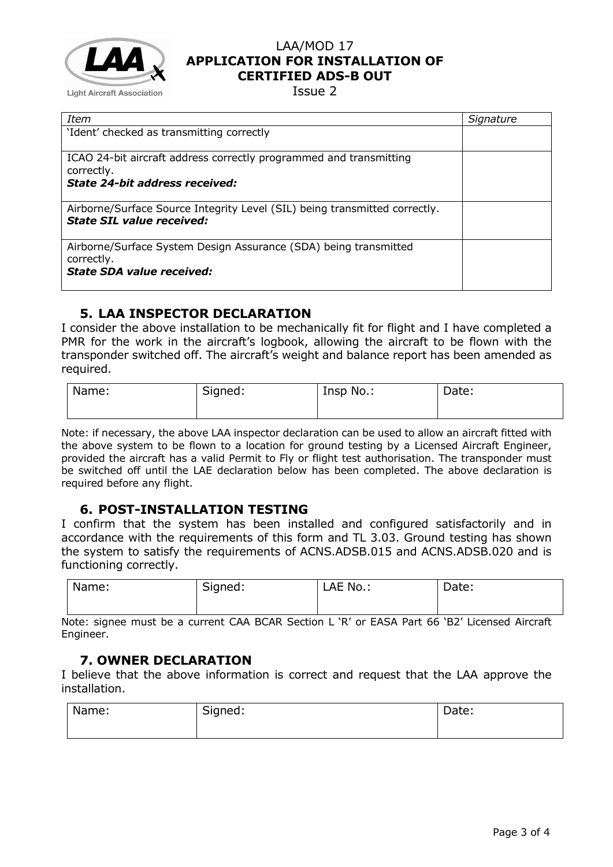

Issue 2

| Item                                                                                                           | Signature |
|----------------------------------------------------------------------------------------------------------------|-----------|
| 'Ident' checked as transmitting correctly                                                                      |           |
|                                                                                                                |           |
| ICAO 24-bit aircraft address correctly programmed and transmitting                                             |           |
| correctly.                                                                                                     |           |
| State 24-bit address received:                                                                                 |           |
|                                                                                                                |           |
| Airborne/Surface Source Integrity Level (SIL) being transmitted correctly.<br><b>State SIL value received:</b> |           |
|                                                                                                                |           |
| Airborne/Surface System Design Assurance (SDA) being transmitted                                               |           |
| correctly.                                                                                                     |           |
| <b>State SDA value received:</b>                                                                               |           |
|                                                                                                                |           |

### **5. LAA INSPECTOR DECLARATION**

I consider the above installation to be mechanically fit for flight and I have completed a PMR for the work in the aircraft's logbook, allowing the aircraft to be flown with the transponder switched off. The aircraft's weight and balance report has been amended as required.

| Name: | Signed: | Insp No.: | Date: |
|-------|---------|-----------|-------|
|       |         |           |       |

Note: if necessary, the above LAA inspector declaration can be used to allow an aircraft fitted with the above system to be flown to a location for ground testing by a Licensed Aircraft Engineer, provided the aircraft has a valid Permit to Fly or flight test authorisation. The transponder must be switched off until the LAE declaration below has been completed. The above declaration is required before any flight.

### **6. POST-INSTALLATION TESTING**

I confirm that the system has been installed and configured satisfactorily and in accordance with the requirements of this form and TL 3.03. Ground testing has shown the system to satisfy the requirements of ACNS.ADSB.015 and ACNS.ADSB.020 and is functioning correctly.

| Name: | Signed: | LAE No.: | Date: |
|-------|---------|----------|-------|
|       |         |          |       |

Note: signee must be a current CAA BCAR Section L 'R' or EASA Part 66 'B2' Licensed Aircraft Engineer.

### **7. OWNER DECLARATION**

I believe that the above information is correct and request that the LAA approve the installation.

| Name: | Signed:<br>- | Date: |
|-------|--------------|-------|
|       |              |       |